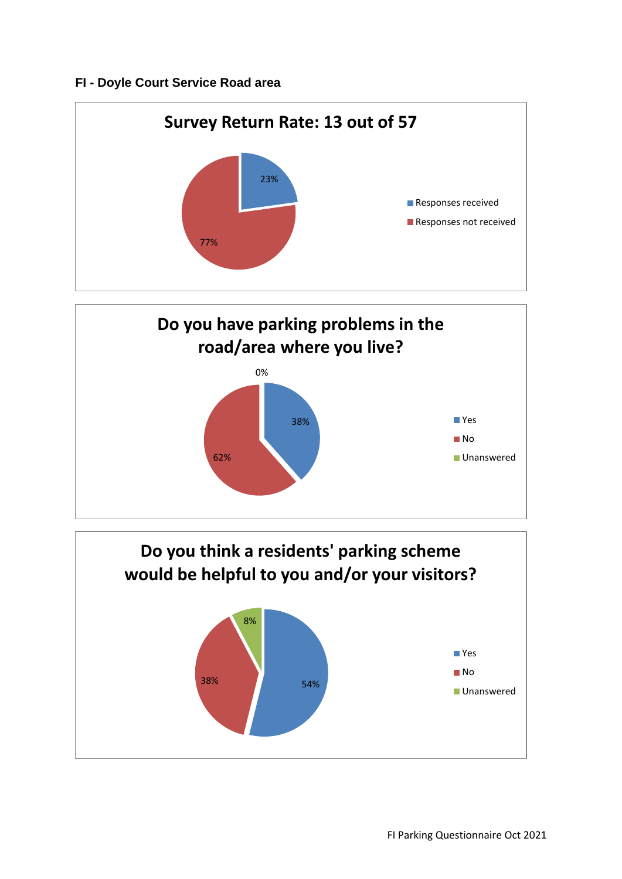## **FI - Doyle Court Service Road area**





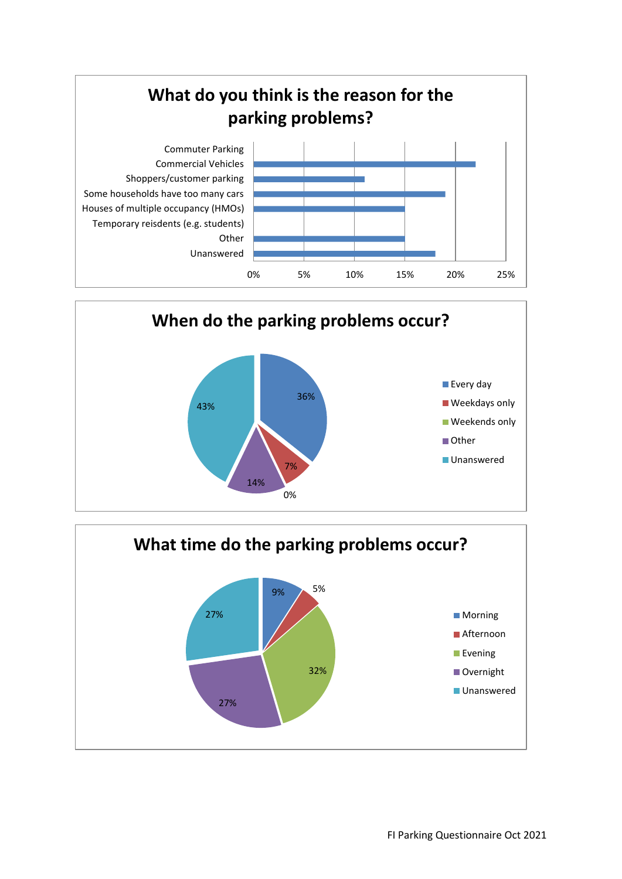



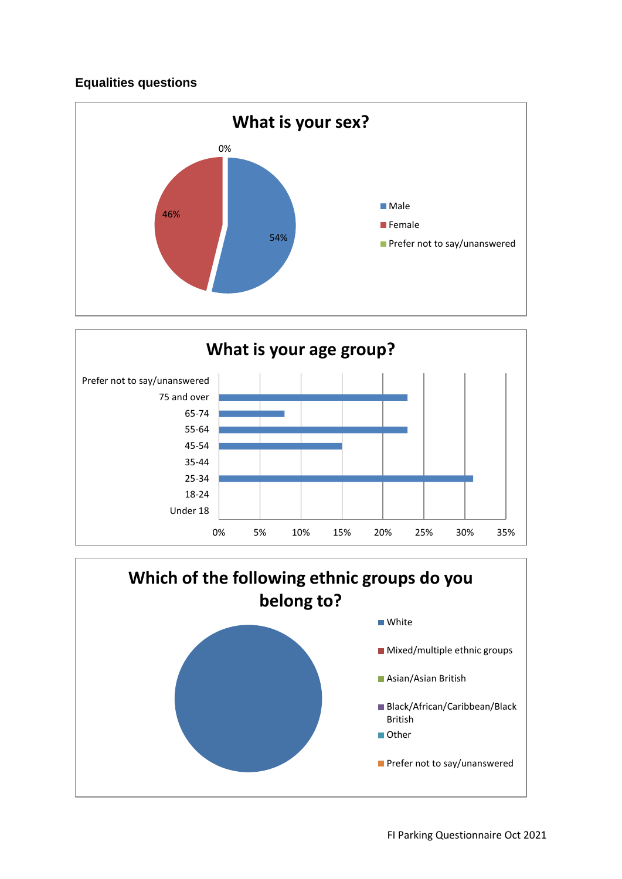## **Equalities questions**





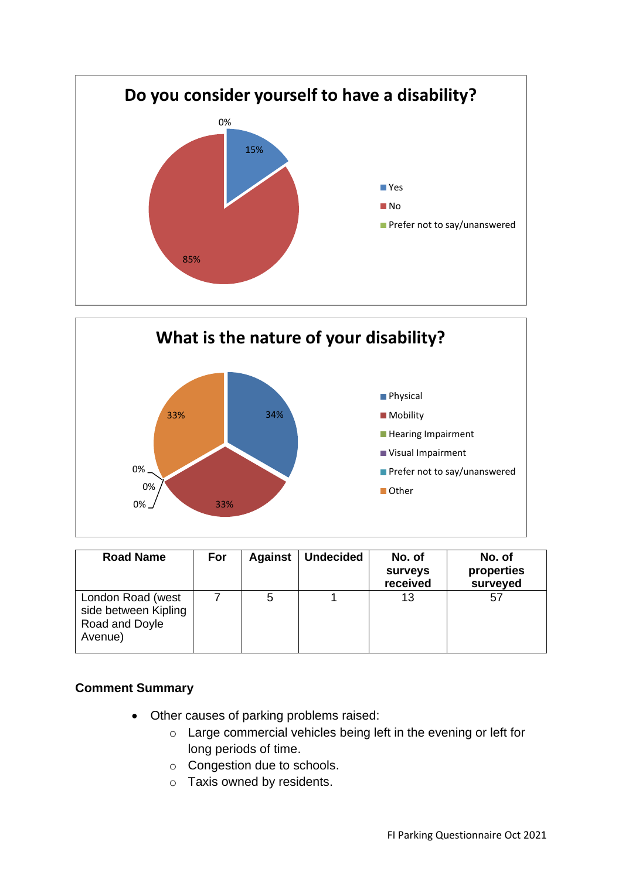



| <b>Road Name</b>                                                       | For | <b>Against</b> | <b>Undecided</b> | No. of<br>surveys<br>received | No. of<br>properties<br>surveyed |
|------------------------------------------------------------------------|-----|----------------|------------------|-------------------------------|----------------------------------|
| London Road (west<br>side between Kipling<br>Road and Doyle<br>Avenue) |     | 5              |                  | 13                            | 57                               |

## **Comment Summary**

- Other causes of parking problems raised:
	- o Large commercial vehicles being left in the evening or left for long periods of time.
	- o Congestion due to schools.
	- o Taxis owned by residents.